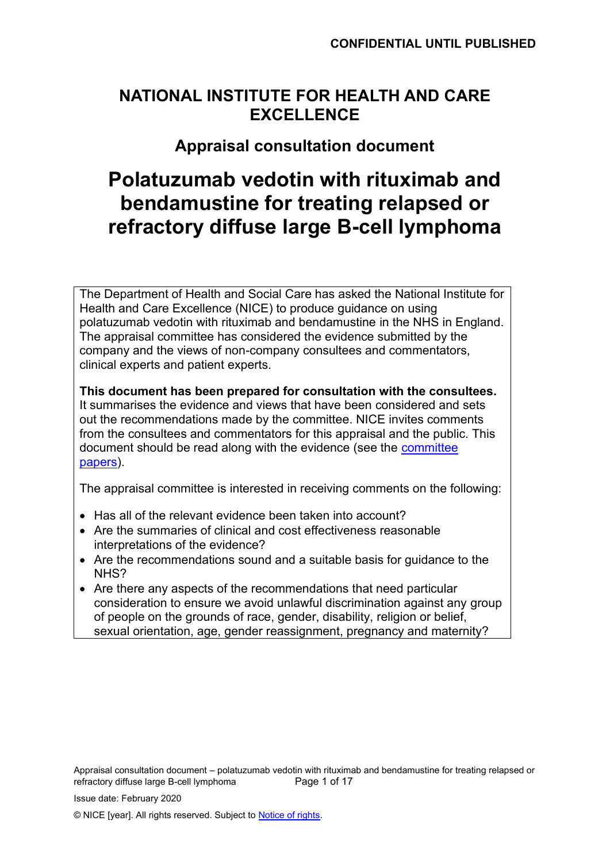## **NATIONAL INSTITUTE FOR HEALTH AND CARE EXCELLENCE**

## **Appraisal consultation document**

# **Polatuzumab vedotin with rituximab and bendamustine for treating relapsed or refractory diffuse large B-cell lymphoma**

The Department of Health and Social Care has asked the National Institute for Health and Care Excellence (NICE) to produce guidance on using polatuzumab vedotin with rituximab and bendamustine in the NHS in England. The appraisal committee has considered the evidence submitted by the company and the views of non-company consultees and commentators, clinical experts and patient experts.

**This document has been prepared for consultation with the consultees.** It summarises the evidence and views that have been considered and sets out the recommendations made by the committee. NICE invites comments from the consultees and commentators for this appraisal and the public. This document should be read along with the evidence (see the [committee](http://www.nice.org.uk/guidance/indevelopment/gid-tagXXX/documents)  [papers\)](http://www.nice.org.uk/guidance/indevelopment/gid-tagXXX/documents).

The appraisal committee is interested in receiving comments on the following:

- Has all of the relevant evidence been taken into account?
- Are the summaries of clinical and cost effectiveness reasonable interpretations of the evidence?
- Are the recommendations sound and a suitable basis for guidance to the NHS?
- Are there any aspects of the recommendations that need particular consideration to ensure we avoid unlawful discrimination against any group of people on the grounds of race, gender, disability, religion or belief, sexual orientation, age, gender reassignment, pregnancy and maternity?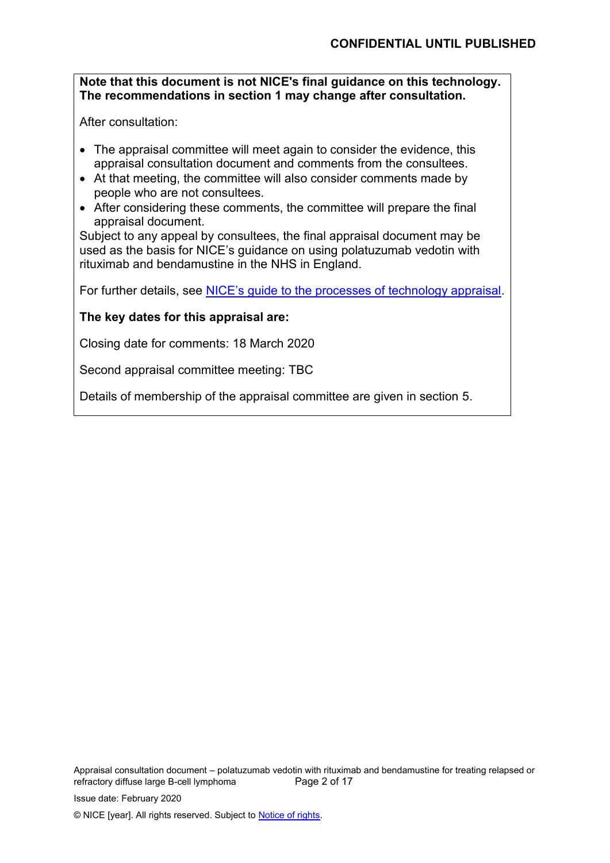#### **Note that this document is not NICE's final guidance on this technology. The recommendations in section 1 may change after consultation.**

After consultation:

- The appraisal committee will meet again to consider the evidence, this appraisal consultation document and comments from the consultees.
- At that meeting, the committee will also consider comments made by people who are not consultees.
- After considering these comments, the committee will prepare the final appraisal document.

Subject to any appeal by consultees, the final appraisal document may be used as the basis for NICE's guidance on using polatuzumab vedotin with rituximab and bendamustine in the NHS in England.

For further details, see [NICE's guide to the processes of technology appraisal](http://www.nice.org.uk/article/pmg19/chapter/Foreword).

#### **The key dates for this appraisal are:**

Closing date for comments: 18 March 2020

Second appraisal committee meeting: TBC

Details of membership of the appraisal committee are given in section 5.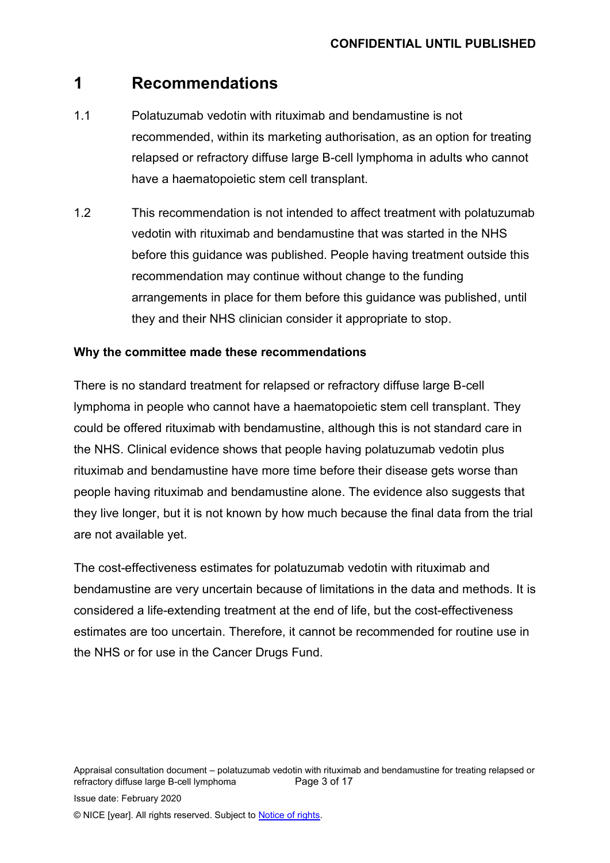## **1 Recommendations**

- 1.1 Polatuzumab vedotin with rituximab and bendamustine is not recommended, within its marketing authorisation, as an option for treating relapsed or refractory diffuse large B-cell lymphoma in adults who cannot have a haematopoietic stem cell transplant.
- 1.2 This recommendation is not intended to affect treatment with polatuzumab vedotin with rituximab and bendamustine that was started in the NHS before this guidance was published. People having treatment outside this recommendation may continue without change to the funding arrangements in place for them before this guidance was published, until they and their NHS clinician consider it appropriate to stop.

#### **Why the committee made these recommendations**

There is no standard treatment for relapsed or refractory diffuse large B-cell lymphoma in people who cannot have a haematopoietic stem cell transplant. They could be offered rituximab with bendamustine, although this is not standard care in the NHS. Clinical evidence shows that people having polatuzumab vedotin plus rituximab and bendamustine have more time before their disease gets worse than people having rituximab and bendamustine alone. The evidence also suggests that they live longer, but it is not known by how much because the final data from the trial are not available yet.

The cost-effectiveness estimates for polatuzumab vedotin with rituximab and bendamustine are very uncertain because of limitations in the data and methods. It is considered a life-extending treatment at the end of life, but the cost-effectiveness estimates are too uncertain. Therefore, it cannot be recommended for routine use in the NHS or for use in the Cancer Drugs Fund.

Appraisal consultation document – polatuzumab vedotin with rituximab and bendamustine for treating relapsed or refractory diffuse large B-cell lymphoma Page 3 of 17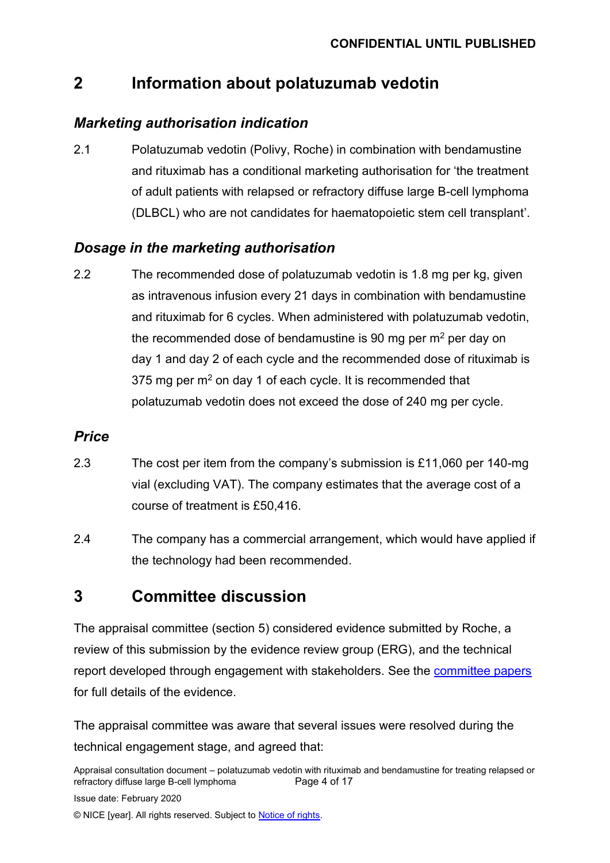## **2 Information about polatuzumab vedotin**

### *Marketing authorisation indication*

2.1 Polatuzumab vedotin (Polivy, Roche) in combination with bendamustine and rituximab has a conditional marketing authorisation for 'the treatment of adult patients with relapsed or refractory diffuse large B-cell lymphoma (DLBCL) who are not candidates for haematopoietic stem cell transplant'.

## *Dosage in the marketing authorisation*

2.2 The recommended dose of polatuzumab vedotin is 1.8 mg per kg, given as intravenous infusion every 21 days in combination with bendamustine and rituximab for 6 cycles. When administered with polatuzumab vedotin, the recommended dose of bendamustine is 90 mg per  $m<sup>2</sup>$  per day on day 1 and day 2 of each cycle and the recommended dose of rituximab is 375 mg per  $m<sup>2</sup>$  on day 1 of each cycle. It is recommended that polatuzumab vedotin does not exceed the dose of 240 mg per cycle.

### *Price*

- 2.3 The cost per item from the company's submission is £11,060 per 140-mg vial (excluding VAT). The company estimates that the average cost of a course of treatment is £50,416.
- 2.4 The company has a commercial arrangement, which would have applied if the technology had been recommended.

## **3 Committee discussion**

The appraisal committee (section 5) considered evidence submitted by Roche, a review of this submission by the evidence review group (ERG), and the technical report developed through engagement with stakeholders. See the [committee papers](https://www.nice.org.uk/guidance/indevelopment/gid-ta10463) for full details of the evidence.

The appraisal committee was aware that several issues were resolved during the technical engagement stage, and agreed that:

Appraisal consultation document – polatuzumab vedotin with rituximab and bendamustine for treating relapsed or refractory diffuse large B-cell lymphoma Page 4 of 17 Issue date: February 2020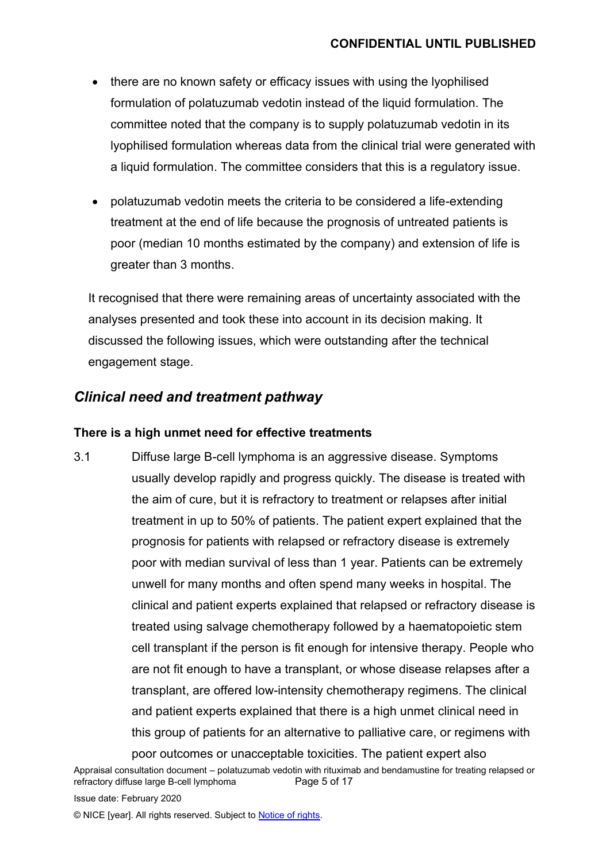- there are no known safety or efficacy issues with using the lyophilised formulation of polatuzumab vedotin instead of the liquid formulation. The committee noted that the company is to supply polatuzumab vedotin in its lyophilised formulation whereas data from the clinical trial were generated with a liquid formulation. The committee considers that this is a regulatory issue.
- polatuzumab vedotin meets the criteria to be considered a life-extending treatment at the end of life because the prognosis of untreated patients is poor (median 10 months estimated by the company) and extension of life is greater than 3 months.

It recognised that there were remaining areas of uncertainty associated with the analyses presented and took these into account in its decision making. It discussed the following issues, which were outstanding after the technical engagement stage.

### *Clinical need and treatment pathway*

#### **There is a high unmet need for effective treatments**

3.1 Diffuse large B-cell lymphoma is an aggressive disease. Symptoms usually develop rapidly and progress quickly. The disease is treated with the aim of cure, but it is refractory to treatment or relapses after initial treatment in up to 50% of patients. The patient expert explained that the prognosis for patients with relapsed or refractory disease is extremely poor with median survival of less than 1 year. Patients can be extremely unwell for many months and often spend many weeks in hospital. The clinical and patient experts explained that relapsed or refractory disease is treated using salvage chemotherapy followed by a haematopoietic stem cell transplant if the person is fit enough for intensive therapy. People who are not fit enough to have a transplant, or whose disease relapses after a transplant, are offered low-intensity chemotherapy regimens. The clinical and patient experts explained that there is a high unmet clinical need in this group of patients for an alternative to palliative care, or regimens with poor outcomes or unacceptable toxicities. The patient expert also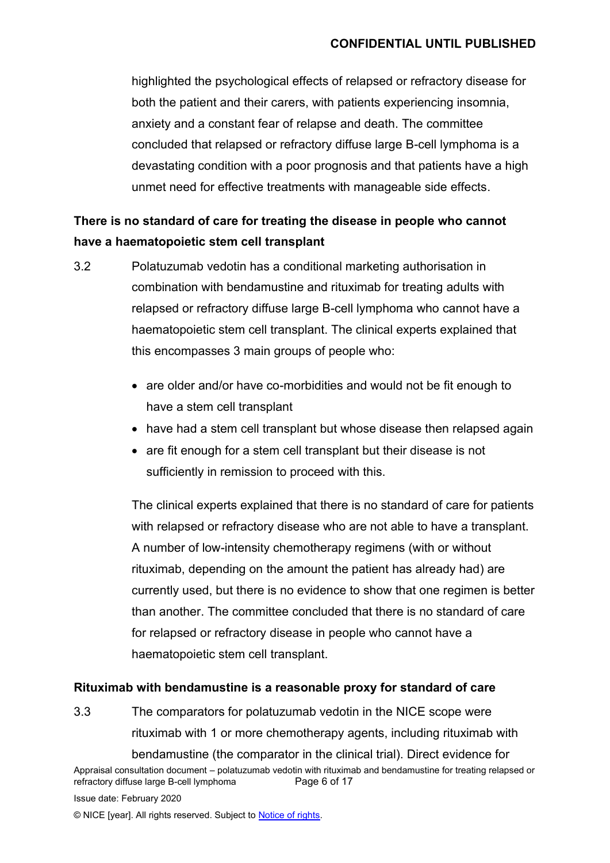highlighted the psychological effects of relapsed or refractory disease for both the patient and their carers, with patients experiencing insomnia, anxiety and a constant fear of relapse and death. The committee concluded that relapsed or refractory diffuse large B-cell lymphoma is a devastating condition with a poor prognosis and that patients have a high unmet need for effective treatments with manageable side effects.

## **There is no standard of care for treating the disease in people who cannot have a haematopoietic stem cell transplant**

- 3.2 Polatuzumab vedotin has a conditional marketing authorisation in combination with bendamustine and rituximab for treating adults with relapsed or refractory diffuse large B-cell lymphoma who cannot have a haematopoietic stem cell transplant. The clinical experts explained that this encompasses 3 main groups of people who:
	- are older and/or have co-morbidities and would not be fit enough to have a stem cell transplant
	- have had a stem cell transplant but whose disease then relapsed again
	- are fit enough for a stem cell transplant but their disease is not sufficiently in remission to proceed with this.

The clinical experts explained that there is no standard of care for patients with relapsed or refractory disease who are not able to have a transplant. A number of low-intensity chemotherapy regimens (with or without rituximab, depending on the amount the patient has already had) are currently used, but there is no evidence to show that one regimen is better than another. The committee concluded that there is no standard of care for relapsed or refractory disease in people who cannot have a haematopoietic stem cell transplant.

#### **Rituximab with bendamustine is a reasonable proxy for standard of care**

3.3 The comparators for polatuzumab vedotin in the NICE scope were rituximab with 1 or more chemotherapy agents, including rituximab with bendamustine (the comparator in the clinical trial). Direct evidence for

Appraisal consultation document – polatuzumab vedotin with rituximab and bendamustine for treating relapsed or refractory diffuse large B-cell lymphoma Page 6 of 17 Issue date: February 2020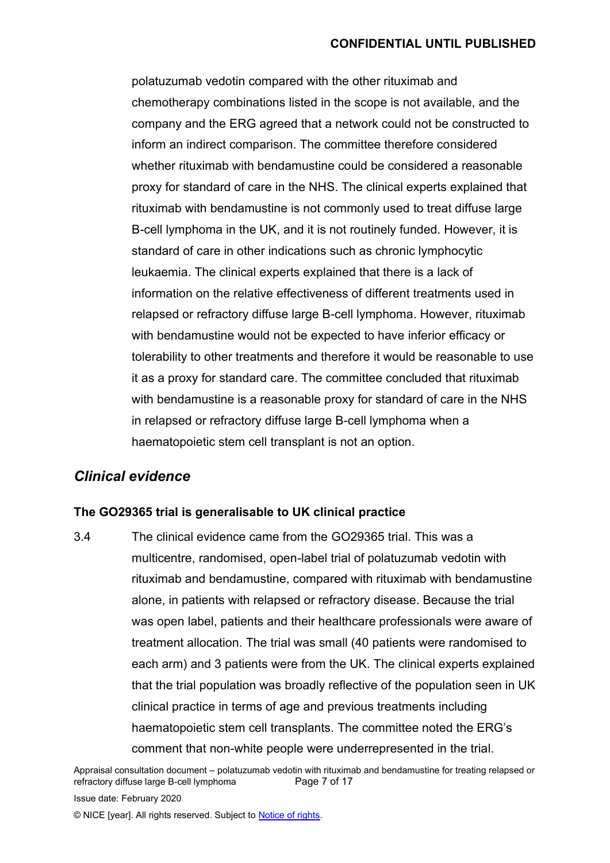polatuzumab vedotin compared with the other rituximab and chemotherapy combinations listed in the scope is not available, and the company and the ERG agreed that a network could not be constructed to inform an indirect comparison. The committee therefore considered whether rituximab with bendamustine could be considered a reasonable proxy for standard of care in the NHS. The clinical experts explained that rituximab with bendamustine is not commonly used to treat diffuse large B-cell lymphoma in the UK, and it is not routinely funded. However, it is standard of care in other indications such as chronic lymphocytic leukaemia. The clinical experts explained that there is a lack of information on the relative effectiveness of different treatments used in relapsed or refractory diffuse large B-cell lymphoma. However, rituximab with bendamustine would not be expected to have inferior efficacy or tolerability to other treatments and therefore it would be reasonable to use it as a proxy for standard care. The committee concluded that rituximab with bendamustine is a reasonable proxy for standard of care in the NHS in relapsed or refractory diffuse large B-cell lymphoma when a haematopoietic stem cell transplant is not an option.

## *Clinical evidence*

#### **The GO29365 trial is generalisable to UK clinical practice**

3.4 The clinical evidence came from the GO29365 trial. This was a multicentre, randomised, open-label trial of polatuzumab vedotin with rituximab and bendamustine, compared with rituximab with bendamustine alone, in patients with relapsed or refractory disease. Because the trial was open label, patients and their healthcare professionals were aware of treatment allocation. The trial was small (40 patients were randomised to each arm) and 3 patients were from the UK. The clinical experts explained that the trial population was broadly reflective of the population seen in UK clinical practice in terms of age and previous treatments including haematopoietic stem cell transplants. The committee noted the ERG's comment that non-white people were underrepresented in the trial.

Appraisal consultation document – polatuzumab vedotin with rituximab and bendamustine for treating relapsed or refractory diffuse large B-cell lymphoma Page 7 of 17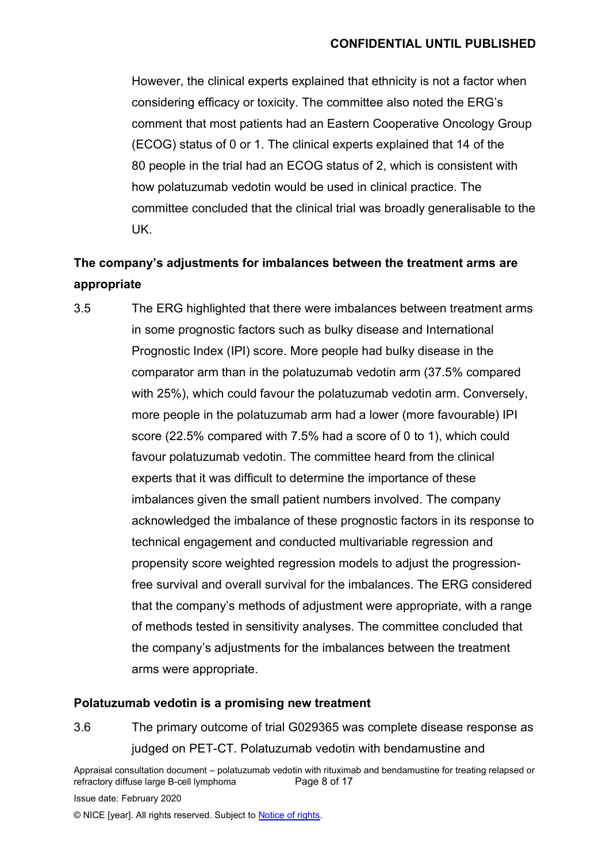However, the clinical experts explained that ethnicity is not a factor when considering efficacy or toxicity. The committee also noted the ERG's comment that most patients had an Eastern Cooperative Oncology Group (ECOG) status of 0 or 1. The clinical experts explained that 14 of the 80 people in the trial had an ECOG status of 2, which is consistent with how polatuzumab vedotin would be used in clinical practice. The committee concluded that the clinical trial was broadly generalisable to the UK.

## **The company's adjustments for imbalances between the treatment arms are appropriate**

3.5 The ERG highlighted that there were imbalances between treatment arms in some prognostic factors such as bulky disease and International Prognostic Index (IPI) score. More people had bulky disease in the comparator arm than in the polatuzumab vedotin arm (37.5% compared with 25%), which could favour the polatuzumab vedotin arm. Conversely, more people in the polatuzumab arm had a lower (more favourable) IPI score (22.5% compared with 7.5% had a score of 0 to 1), which could favour polatuzumab vedotin. The committee heard from the clinical experts that it was difficult to determine the importance of these imbalances given the small patient numbers involved. The company acknowledged the imbalance of these prognostic factors in its response to technical engagement and conducted multivariable regression and propensity score weighted regression models to adjust the progressionfree survival and overall survival for the imbalances. The ERG considered that the company's methods of adjustment were appropriate, with a range of methods tested in sensitivity analyses. The committee concluded that the company's adjustments for the imbalances between the treatment arms were appropriate.

#### **Polatuzumab vedotin is a promising new treatment**

3.6 The primary outcome of trial G029365 was complete disease response as judged on PET-CT. Polatuzumab vedotin with bendamustine and

Appraisal consultation document – polatuzumab vedotin with rituximab and bendamustine for treating relapsed or refractory diffuse large B-cell lymphoma Page 8 of 17

Issue date: February 2020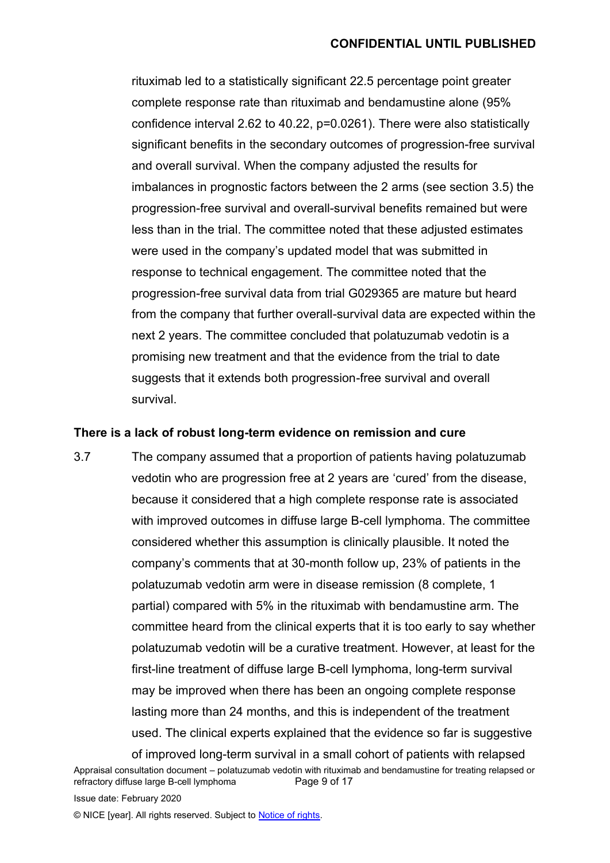rituximab led to a statistically significant 22.5 percentage point greater complete response rate than rituximab and bendamustine alone (95% confidence interval 2.62 to 40.22, p=0.0261). There were also statistically significant benefits in the secondary outcomes of progression-free survival and overall survival. When the company adjusted the results for imbalances in prognostic factors between the 2 arms (see section 3.5) the progression-free survival and overall-survival benefits remained but were less than in the trial. The committee noted that these adjusted estimates were used in the company's updated model that was submitted in response to technical engagement. The committee noted that the progression-free survival data from trial G029365 are mature but heard from the company that further overall-survival data are expected within the next 2 years. The committee concluded that polatuzumab vedotin is a promising new treatment and that the evidence from the trial to date suggests that it extends both progression-free survival and overall survival.

#### **There is a lack of robust long-term evidence on remission and cure**

3.7 The company assumed that a proportion of patients having polatuzumab vedotin who are progression free at 2 years are 'cured' from the disease, because it considered that a high complete response rate is associated with improved outcomes in diffuse large B-cell lymphoma. The committee considered whether this assumption is clinically plausible. It noted the company's comments that at 30-month follow up, 23% of patients in the polatuzumab vedotin arm were in disease remission (8 complete, 1 partial) compared with 5% in the rituximab with bendamustine arm. The committee heard from the clinical experts that it is too early to say whether polatuzumab vedotin will be a curative treatment. However, at least for the first-line treatment of diffuse large B-cell lymphoma, long-term survival may be improved when there has been an ongoing complete response lasting more than 24 months, and this is independent of the treatment used. The clinical experts explained that the evidence so far is suggestive of improved long-term survival in a small cohort of patients with relapsed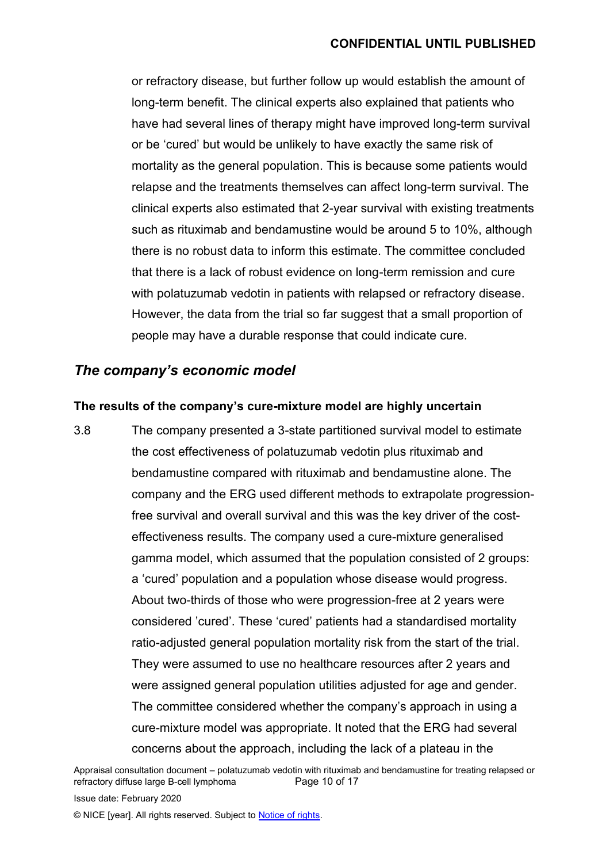or refractory disease, but further follow up would establish the amount of long-term benefit. The clinical experts also explained that patients who have had several lines of therapy might have improved long-term survival or be 'cured' but would be unlikely to have exactly the same risk of mortality as the general population. This is because some patients would relapse and the treatments themselves can affect long-term survival. The clinical experts also estimated that 2-year survival with existing treatments such as rituximab and bendamustine would be around 5 to 10%, although there is no robust data to inform this estimate. The committee concluded that there is a lack of robust evidence on long-term remission and cure with polatuzumab vedotin in patients with relapsed or refractory disease. However, the data from the trial so far suggest that a small proportion of people may have a durable response that could indicate cure.

### *The company's economic model*

#### **The results of the company's cure-mixture model are highly uncertain**

3.8 The company presented a 3-state partitioned survival model to estimate the cost effectiveness of polatuzumab vedotin plus rituximab and bendamustine compared with rituximab and bendamustine alone. The company and the ERG used different methods to extrapolate progressionfree survival and overall survival and this was the key driver of the costeffectiveness results. The company used a cure-mixture generalised gamma model, which assumed that the population consisted of 2 groups: a 'cured' population and a population whose disease would progress. About two-thirds of those who were progression-free at 2 years were considered 'cured'. These 'cured' patients had a standardised mortality ratio-adjusted general population mortality risk from the start of the trial. They were assumed to use no healthcare resources after 2 years and were assigned general population utilities adjusted for age and gender. The committee considered whether the company's approach in using a cure-mixture model was appropriate. It noted that the ERG had several concerns about the approach, including the lack of a plateau in the

Appraisal consultation document – polatuzumab vedotin with rituximab and bendamustine for treating relapsed or refractory diffuse large B-cell lymphoma Page 10 of 17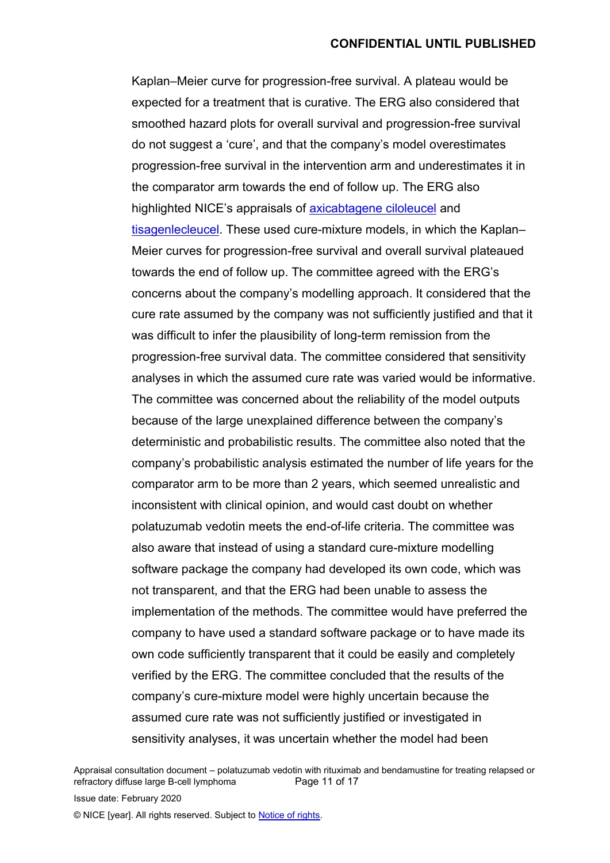Kaplan–Meier curve for progression-free survival. A plateau would be expected for a treatment that is curative. The ERG also considered that smoothed hazard plots for overall survival and progression-free survival do not suggest a 'cure', and that the company's model overestimates progression-free survival in the intervention arm and underestimates it in the comparator arm towards the end of follow up. The ERG also highlighted NICE's appraisals of [axicabtagene ciloleucel](https://www.nice.org.uk/guidance/ta559) and [tisagenlecleucel.](https://www.nice.org.uk/guidance/ta567) These used cure-mixture models, in which the Kaplan– Meier curves for progression-free survival and overall survival plateaued towards the end of follow up. The committee agreed with the ERG's concerns about the company's modelling approach. It considered that the cure rate assumed by the company was not sufficiently justified and that it was difficult to infer the plausibility of long-term remission from the progression-free survival data. The committee considered that sensitivity analyses in which the assumed cure rate was varied would be informative. The committee was concerned about the reliability of the model outputs because of the large unexplained difference between the company's deterministic and probabilistic results. The committee also noted that the company's probabilistic analysis estimated the number of life years for the comparator arm to be more than 2 years, which seemed unrealistic and inconsistent with clinical opinion, and would cast doubt on whether polatuzumab vedotin meets the end-of-life criteria. The committee was also aware that instead of using a standard cure-mixture modelling software package the company had developed its own code, which was not transparent, and that the ERG had been unable to assess the implementation of the methods. The committee would have preferred the company to have used a standard software package or to have made its own code sufficiently transparent that it could be easily and completely verified by the ERG. The committee concluded that the results of the company's cure-mixture model were highly uncertain because the assumed cure rate was not sufficiently justified or investigated in sensitivity analyses, it was uncertain whether the model had been

Appraisal consultation document – polatuzumab vedotin with rituximab and bendamustine for treating relapsed or refractory diffuse large B-cell lymphoma Page 11 of 17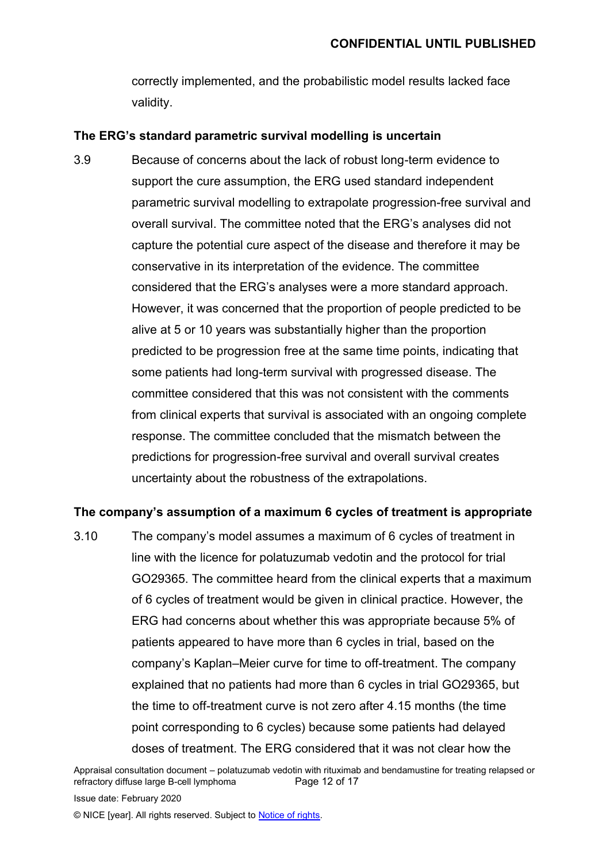correctly implemented, and the probabilistic model results lacked face validity.

#### **The ERG's standard parametric survival modelling is uncertain**

3.9 Because of concerns about the lack of robust long-term evidence to support the cure assumption, the ERG used standard independent parametric survival modelling to extrapolate progression-free survival and overall survival. The committee noted that the ERG's analyses did not capture the potential cure aspect of the disease and therefore it may be conservative in its interpretation of the evidence. The committee considered that the ERG's analyses were a more standard approach. However, it was concerned that the proportion of people predicted to be alive at 5 or 10 years was substantially higher than the proportion predicted to be progression free at the same time points, indicating that some patients had long-term survival with progressed disease. The committee considered that this was not consistent with the comments from clinical experts that survival is associated with an ongoing complete response. The committee concluded that the mismatch between the predictions for progression-free survival and overall survival creates uncertainty about the robustness of the extrapolations.

#### **The company's assumption of a maximum 6 cycles of treatment is appropriate**

3.10 The company's model assumes a maximum of 6 cycles of treatment in line with the licence for polatuzumab vedotin and the protocol for trial GO29365. The committee heard from the clinical experts that a maximum of 6 cycles of treatment would be given in clinical practice. However, the ERG had concerns about whether this was appropriate because 5% of patients appeared to have more than 6 cycles in trial, based on the company's Kaplan–Meier curve for time to off-treatment. The company explained that no patients had more than 6 cycles in trial GO29365, but the time to off-treatment curve is not zero after 4.15 months (the time point corresponding to 6 cycles) because some patients had delayed doses of treatment. The ERG considered that it was not clear how the

Appraisal consultation document – polatuzumab vedotin with rituximab and bendamustine for treating relapsed or refractory diffuse large B-cell lymphoma Page 12 of 17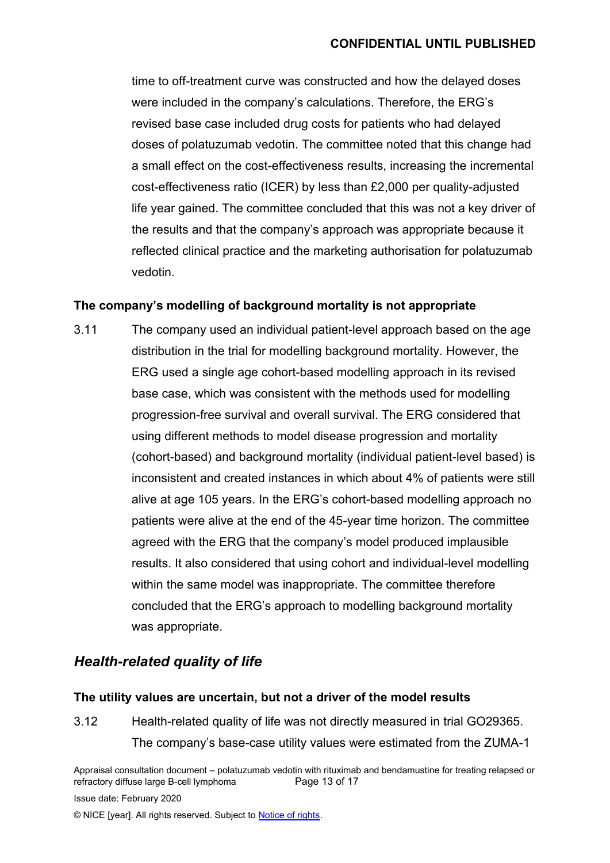time to off-treatment curve was constructed and how the delayed doses were included in the company's calculations. Therefore, the ERG's revised base case included drug costs for patients who had delayed doses of polatuzumab vedotin. The committee noted that this change had a small effect on the cost-effectiveness results, increasing the incremental cost-effectiveness ratio (ICER) by less than £2,000 per quality-adjusted life year gained. The committee concluded that this was not a key driver of the results and that the company's approach was appropriate because it reflected clinical practice and the marketing authorisation for polatuzumab vedotin.

#### **The company's modelling of background mortality is not appropriate**

3.11 The company used an individual patient-level approach based on the age distribution in the trial for modelling background mortality. However, the ERG used a single age cohort-based modelling approach in its revised base case, which was consistent with the methods used for modelling progression-free survival and overall survival. The ERG considered that using different methods to model disease progression and mortality (cohort-based) and background mortality (individual patient-level based) is inconsistent and created instances in which about 4% of patients were still alive at age 105 years. In the ERG's cohort-based modelling approach no patients were alive at the end of the 45-year time horizon. The committee agreed with the ERG that the company's model produced implausible results. It also considered that using cohort and individual-level modelling within the same model was inappropriate. The committee therefore concluded that the ERG's approach to modelling background mortality was appropriate.

## *Health-related quality of life*

#### **The utility values are uncertain, but not a driver of the model results**

3.12 Health-related quality of life was not directly measured in trial GO29365. The company's base-case utility values were estimated from the ZUMA-1

Appraisal consultation document – polatuzumab vedotin with rituximab and bendamustine for treating relapsed or refractory diffuse large B-cell lymphoma Page 13 of 17

Issue date: February 2020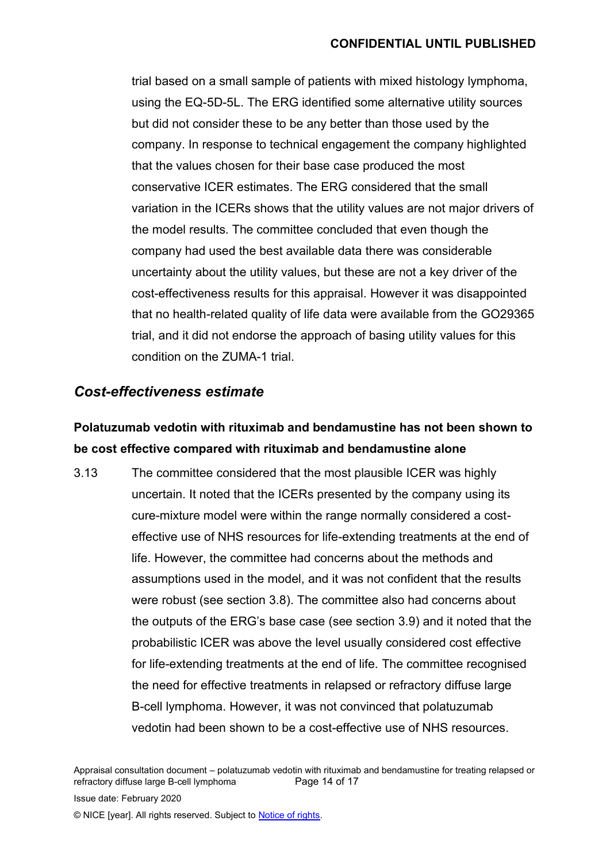trial based on a small sample of patients with mixed histology lymphoma, using the EQ-5D-5L. The ERG identified some alternative utility sources but did not consider these to be any better than those used by the company. In response to technical engagement the company highlighted that the values chosen for their base case produced the most conservative ICER estimates. The ERG considered that the small variation in the ICERs shows that the utility values are not major drivers of the model results. The committee concluded that even though the company had used the best available data there was considerable uncertainty about the utility values, but these are not a key driver of the cost-effectiveness results for this appraisal. However it was disappointed that no health-related quality of life data were available from the GO29365 trial, and it did not endorse the approach of basing utility values for this condition on the ZUMA-1 trial.

## *Cost-effectiveness estimate*

## **Polatuzumab vedotin with rituximab and bendamustine has not been shown to be cost effective compared with rituximab and bendamustine alone**

3.13 The committee considered that the most plausible ICER was highly uncertain. It noted that the ICERs presented by the company using its cure-mixture model were within the range normally considered a costeffective use of NHS resources for life-extending treatments at the end of life. However, the committee had concerns about the methods and assumptions used in the model, and it was not confident that the results were robust (see section 3.8). The committee also had concerns about the outputs of the ERG's base case (see section 3.9) and it noted that the probabilistic ICER was above the level usually considered cost effective for life-extending treatments at the end of life. The committee recognised the need for effective treatments in relapsed or refractory diffuse large B-cell lymphoma. However, it was not convinced that polatuzumab vedotin had been shown to be a cost-effective use of NHS resources.

Appraisal consultation document – polatuzumab vedotin with rituximab and bendamustine for treating relapsed or refractory diffuse large B-cell lymphoma Page 14 of 17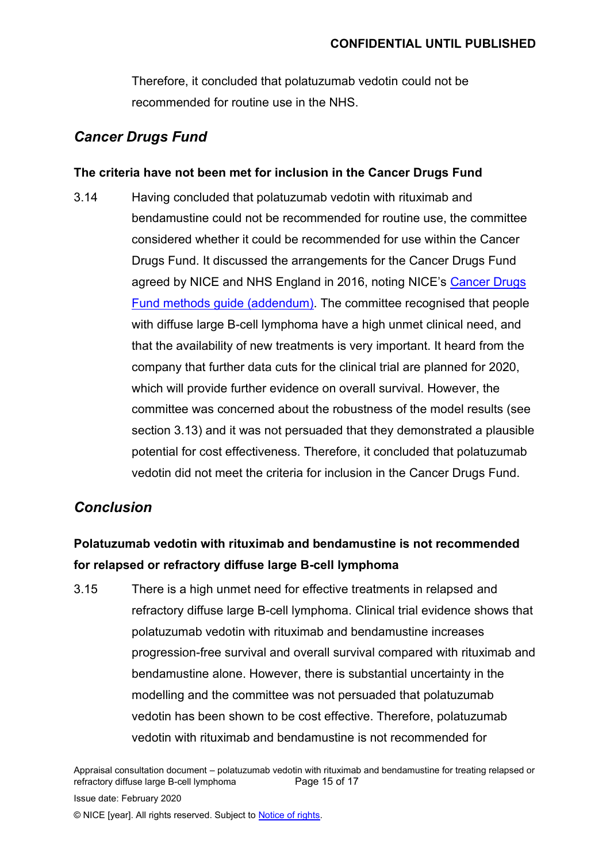Therefore, it concluded that polatuzumab vedotin could not be recommended for routine use in the NHS.

### *Cancer Drugs Fund*

#### **The criteria have not been met for inclusion in the Cancer Drugs Fund**

3.14 Having concluded that polatuzumab vedotin with rituximab and bendamustine could not be recommended for routine use, the committee considered whether it could be recommended for use within the Cancer Drugs Fund. It discussed the arrangements for the Cancer Drugs Fund agreed by NICE and NHS England in 2016, noting NICE's [Cancer Drugs](https://www.nice.org.uk/about/what-we-do/our-programmes/nice-guidance/nice-technology-appraisal-guidance/cancer-drugs-fund)  [Fund methods guide \(addendum\).](https://www.nice.org.uk/about/what-we-do/our-programmes/nice-guidance/nice-technology-appraisal-guidance/cancer-drugs-fund) The committee recognised that people with diffuse large B-cell lymphoma have a high unmet clinical need, and that the availability of new treatments is very important. It heard from the company that further data cuts for the clinical trial are planned for 2020, which will provide further evidence on overall survival. However, the committee was concerned about the robustness of the model results (see section 3.13) and it was not persuaded that they demonstrated a plausible potential for cost effectiveness. Therefore, it concluded that polatuzumab vedotin did not meet the criteria for inclusion in the Cancer Drugs Fund.

## *Conclusion*

## **Polatuzumab vedotin with rituximab and bendamustine is not recommended for relapsed or refractory diffuse large B-cell lymphoma**

3.15 There is a high unmet need for effective treatments in relapsed and refractory diffuse large B-cell lymphoma. Clinical trial evidence shows that polatuzumab vedotin with rituximab and bendamustine increases progression-free survival and overall survival compared with rituximab and bendamustine alone. However, there is substantial uncertainty in the modelling and the committee was not persuaded that polatuzumab vedotin has been shown to be cost effective. Therefore, polatuzumab vedotin with rituximab and bendamustine is not recommended for

Appraisal consultation document – polatuzumab vedotin with rituximab and bendamustine for treating relapsed or refractory diffuse large B-cell lymphoma Page 15 of 17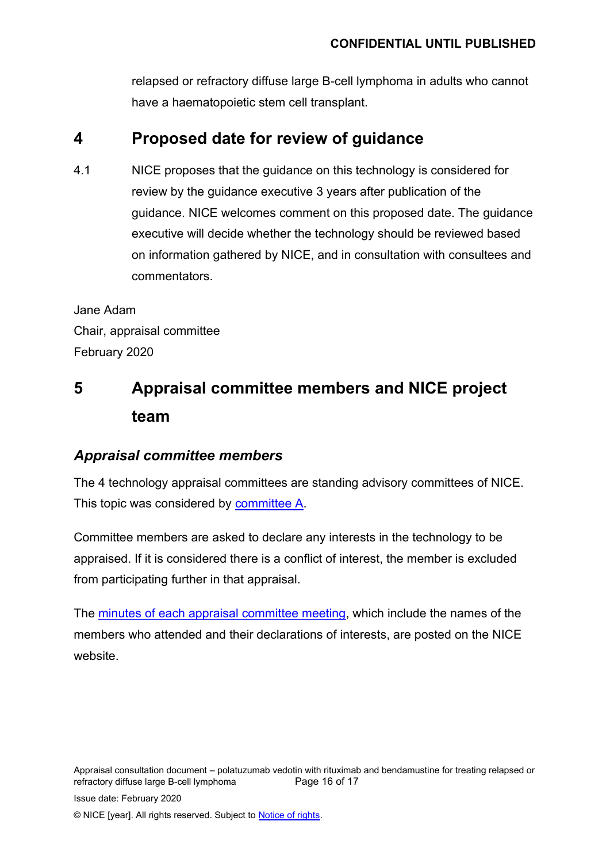relapsed or refractory diffuse large B-cell lymphoma in adults who cannot have a haematopoietic stem cell transplant.

## **4 Proposed date for review of guidance**

4.1 NICE proposes that the guidance on this technology is considered for review by the guidance executive 3 years after publication of the guidance. NICE welcomes comment on this proposed date. The guidance executive will decide whether the technology should be reviewed based on information gathered by NICE, and in consultation with consultees and commentators.

Jane Adam Chair, appraisal committee February 2020

# **5 Appraisal committee members and NICE project team**

## *Appraisal committee members*

The 4 technology appraisal committees are standing advisory committees of NICE. This topic was considered by [committee A.](https://www.nice.org.uk/Get-Involved/Meetings-in-public/Technology-appraisal-Committee/Committee-A-Members)

Committee members are asked to declare any interests in the technology to be appraised. If it is considered there is a conflict of interest, the member is excluded from participating further in that appraisal.

The minutes [of each appraisal committee meeting,](https://www.nice.org.uk/get-involved/meetings-in-public/technology-appraisal-committee) which include the names of the members who attended and their declarations of interests, are posted on the NICE website.

Appraisal consultation document – polatuzumab vedotin with rituximab and bendamustine for treating relapsed or refractory diffuse large B-cell lymphoma Page 16 of 17